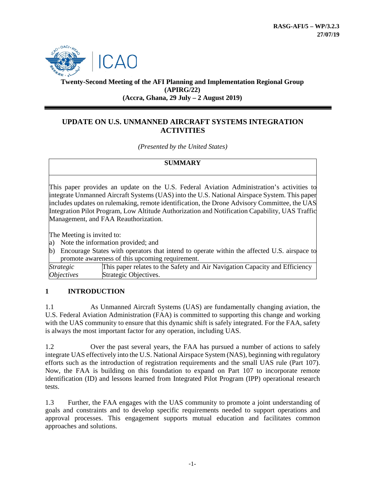

**Twenty-Second Meeting of the AFI Planning and Implementation Regional Group (APIRG/22) (Accra, Ghana, 29 July – 2 August 2019)**

# **UPDATE ON U.S. UNMANNED AIRCRAFT SYSTEMS INTEGRATION ACTIVITIES**

*(Presented by the United States)*

#### **SUMMARY**

This paper provides an update on the U.S. Federal Aviation Administration's activities to integrate Unmanned Aircraft Systems (UAS) into the U.S. National Airspace System. This paper includes updates on rulemaking, remote identification, the Drone Advisory Committee, the UAS Integration Pilot Program, Low Altitude Authorization and Notification Capability, UAS Traffic Management, and FAA Reauthorization.

The Meeting is invited to:

- a) Note the information provided; and
- b) Encourage States with operators that intend to operate within the affected U.S. airspace to promote awareness of this upcoming requirement.

| <i>Strategic</i>         | This paper relates to the Safety and Air Navigation Capacity and Efficiency |
|--------------------------|-----------------------------------------------------------------------------|
| <i><b>Objectives</b></i> | Strategic Objectives.                                                       |

# **1 INTRODUCTION**

1.1 As Unmanned Aircraft Systems (UAS) are fundamentally changing aviation, the U.S. Federal Aviation Administration (FAA) is committed to supporting this change and working with the UAS community to ensure that this dynamic shift is safely integrated. For the FAA, safety is always the most important factor for any operation, including UAS.

1.2 Over the past several years, the FAA has pursued a number of actions to safely integrate UAS effectively into the U.S. National Airspace System (NAS), beginning with regulatory efforts such as the introduction of registration requirements and the small UAS rule (Part 107). Now, the FAA is building on this foundation to expand on Part 107 to incorporate remote identification (ID) and lessons learned from Integrated Pilot Program (IPP) operational research tests.

1.3 Further, the FAA engages with the UAS community to promote a joint understanding of goals and constraints and to develop specific requirements needed to support operations and approval processes. This engagement supports mutual education and facilitates common approaches and solutions.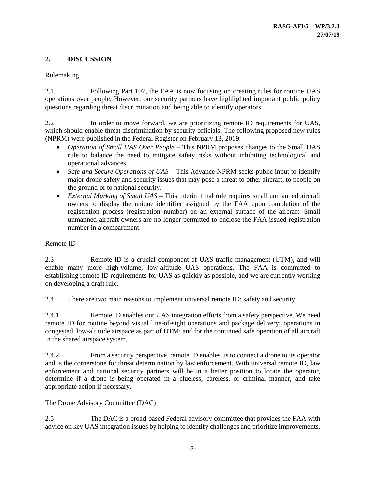# **2. DISCUSSION**

#### Rulemaking

2.1. Following Part 107, the FAA is now focusing on creating rules for routine UAS operations over people. However, our security partners have highlighted important public policy questions regarding threat discrimination and being able to identify operators.

2.2 In order to move forward, we are prioritizing remote ID requirements for UAS, which should enable threat discrimination by security officials. The following proposed new rules (NPRM) were published in the Federal Register on February 13, 2019:

- *Operation of Small UAS Over People* This NPRM proposes changes to the Small UAS rule to balance the need to mitigate safety risks without inhibiting technological and operational advances.
- *Safe and Secure Operations of UAS* This Advance NPRM seeks public input to identify major drone safety and security issues that may pose a threat to other aircraft, to people on the ground or to national security.
- *External Marking of Small UAS* This interim final rule requires small unmanned aircraft owners to display the unique identifier assigned by the FAA upon completion of the registration process (registration number) on an external surface of the aircraft. Small unmanned aircraft owners are no longer permitted to enclose the FAA-issued registration number in a compartment.

#### Remote ID

2.3 Remote ID is a crucial component of UAS traffic management (UTM), and will enable many more high-volume, low-altitude UAS operations. The FAA is committed to establishing remote ID requirements for UAS as quickly as possible, and we are currently working on developing a draft rule.

2.4 There are two main reasons to implement universal remote ID: safety and security.

2.4.1 Remote ID enables our UAS integration efforts from a safety perspective. We need remote ID for routine beyond visual line-of-sight operations and package delivery; operations in congested, low-altitude airspace as part of UTM; and for the continued safe operation of all aircraft in the shared airspace system.

2.4.2. From a security perspective, remote ID enables us to connect a drone to its operator and is the cornerstone for threat determination by law enforcement. With universal remote ID, law enforcement and national security partners will be in a better position to locate the operator, determine if a drone is being operated in a clueless, careless, or criminal manner, and take appropriate action if necessary.

# The Drone Advisory Committee (DAC)

2.5 The DAC is a broad-based Federal advisory committee that provides the FAA with advice on key UAS integration issues by helping to identify challenges and prioritize improvements.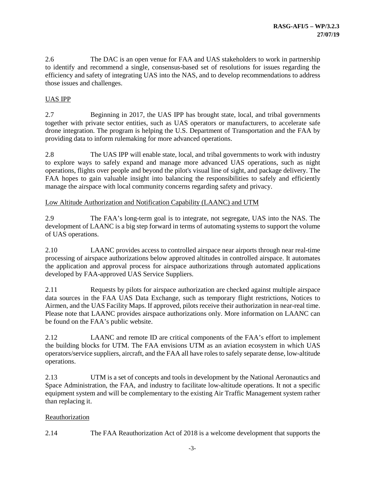2.6 The DAC is an open venue for FAA and UAS stakeholders to work in partnership to identify and recommend a single, consensus-based set of resolutions for issues regarding the efficiency and safety of integrating UAS into the NAS, and to develop recommendations to address those issues and challenges.

## UAS IPP

2.7 Beginning in 2017, the UAS IPP has brought state, local, and tribal governments together with private sector entities, such as UAS operators or manufacturers, to accelerate safe drone integration. The program is helping the U.S. Department of Transportation and the FAA by providing data to inform rulemaking for more advanced operations.

2.8 The UAS IPP will enable state, local, and tribal governments to work with industry to explore ways to safely expand and manage more advanced UAS operations, such as night operations, flights over people and beyond the pilot's visual line of sight, and package delivery. The FAA hopes to gain valuable insight into balancing the responsibilities to safely and efficiently manage the airspace with local community concerns regarding safety and privacy.

#### Low Altitude Authorization and Notification Capability (LAANC) and UTM

2.9 The FAA's long-term goal is to integrate, not segregate, UAS into the NAS. The development of LAANC is a big step forward in terms of automating systems to support the volume of UAS operations.

2.10 LAANC provides access to controlled airspace near airports through near real-time processing of airspace authorizations below approved altitudes in controlled airspace. It automates the application and approval process for airspace authorizations through automated applications developed by FAA-approved UAS Service Suppliers.

2.11 Requests by pilots for airspace authorization are checked against multiple airspace data sources in the FAA UAS Data Exchange, such as temporary flight restrictions, Notices to Airmen, and the UAS Facility Maps. If approved, pilots receive their authorization in near-real time. Please note that LAANC provides airspace authorizations only. More information on LAANC can be found on the FAA's public website.

2.12 LAANC and remote ID are critical components of the FAA's effort to implement the building blocks for UTM. The FAA envisions UTM as an aviation ecosystem in which UAS operators/service suppliers, aircraft, and the FAA all have roles to safely separate dense, low-altitude operations.

2.13 UTM is a set of concepts and tools in development by the National Aeronautics and Space Administration, the FAA, and industry to facilitate low-altitude operations. It not a specific equipment system and will be complementary to the existing Air Traffic Management system rather than replacing it.

#### Reauthorization

2.14 The FAA Reauthorization Act of 2018 is a welcome development that supports the